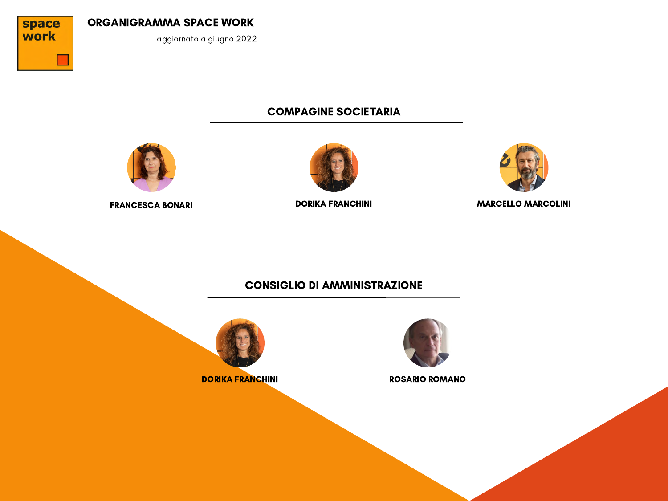

aggiornato a giugno 2022

# COMPAGINE SOCIETARIA







FRANCESCA BONARI DORIKA FRANCHINI MARCELLO MARCOLINI

# CONSIGLIO DI AMMINISTRAZIONE





DORIKA FRANCHINI NA POSARIO ROMANO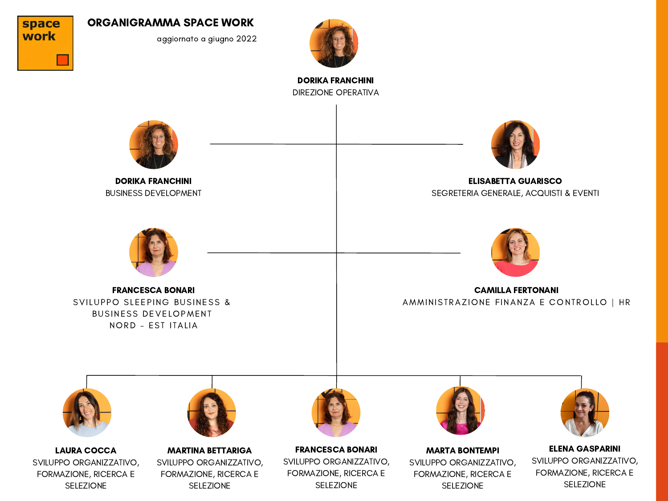

aggiornato a giugno 2022



DIREZIONE OPERATIVA DORIKA FRANCHINI

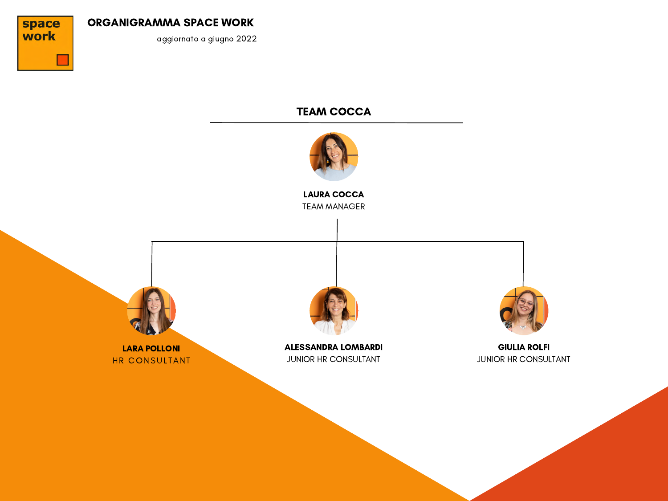

aggiornato a giugno 2022

# TEAM COCCA

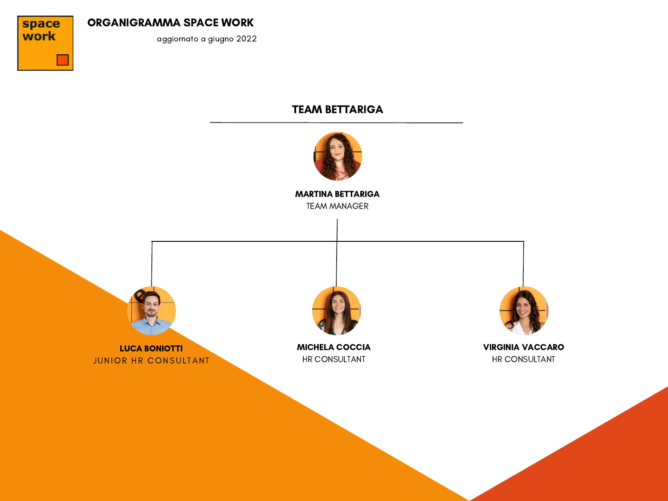

aggiornato a giugno 2022

# TEAM BETTARIGA

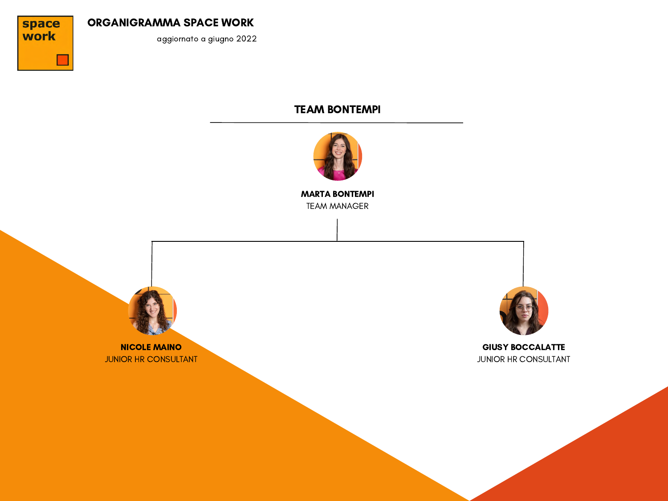

aggiornato a giugno 2022

## TEAM BONTEMPI



TEAM MANAGER MARTA BONTEMPI

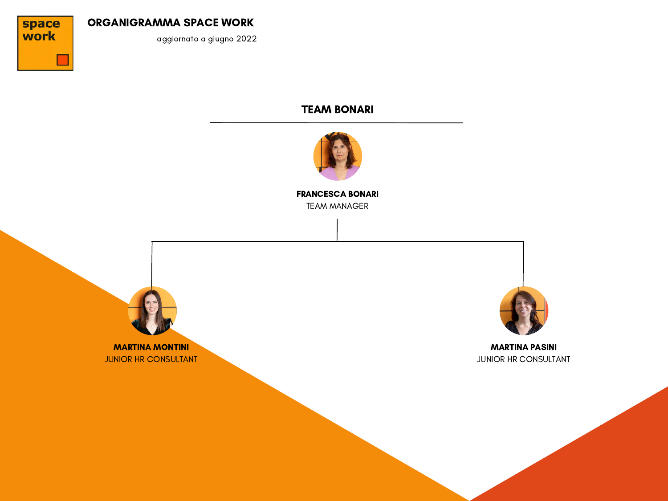

aggiornato a giugno 2022

## TEAM BONARI



TEAM MANAGER FRANCESCA BONARI